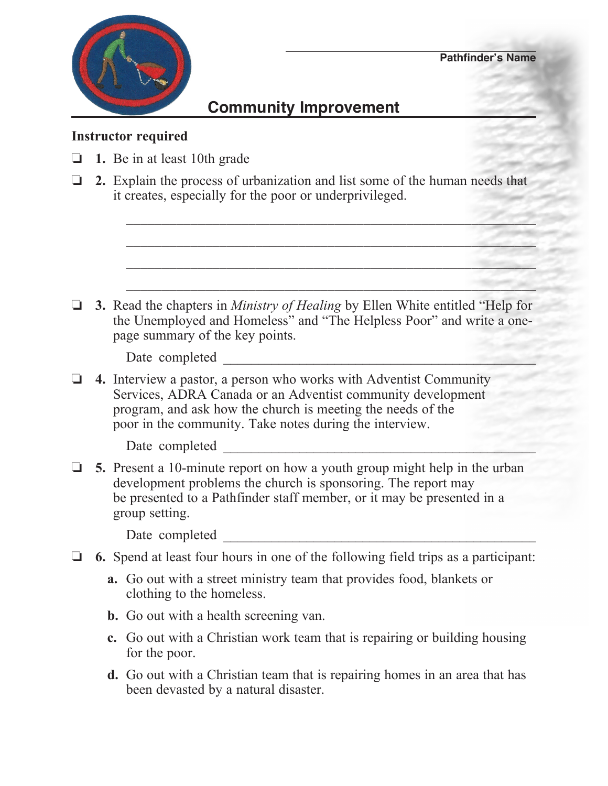

## **Community Improvement**

## **Instructor required**

- o **1.** Be in at least 10th grade
- o **2.** Explain the process of urbanization and list some of the human needs that it creates, especially for the poor or underprivileged.

 $\mathcal{L} = \{ \mathcal{L} \mid \mathcal{L} \in \mathcal{L} \}$ 

\_\_\_\_\_\_\_\_\_\_\_\_\_\_\_\_\_\_\_\_\_\_\_\_\_\_\_\_\_\_\_\_\_\_\_\_\_\_\_\_\_\_\_\_\_\_\_\_\_\_\_\_\_\_\_\_\_

 $\mathcal{L}_\text{max} = \frac{1}{2} \sum_{i=1}^n \frac{1}{2} \sum_{j=1}^n \frac{1}{2} \sum_{j=1}^n \frac{1}{2} \sum_{j=1}^n \frac{1}{2} \sum_{j=1}^n \frac{1}{2} \sum_{j=1}^n \frac{1}{2} \sum_{j=1}^n \frac{1}{2} \sum_{j=1}^n \frac{1}{2} \sum_{j=1}^n \frac{1}{2} \sum_{j=1}^n \frac{1}{2} \sum_{j=1}^n \frac{1}{2} \sum_{j=1}^n \frac{1}{2} \sum_{j=1}^n$ 

**3.** Read the chapters in *Ministry of Healing* by Ellen White entitled "Help for the Unemployed and Homeless" and "The Helpless Poor" and write a one page summary of the key points.

 $\mathcal{L}_\mathcal{L} = \{ \mathcal{L}_\mathcal{L} = \{ \mathcal{L}_\mathcal{L} = \{ \mathcal{L}_\mathcal{L} = \{ \mathcal{L}_\mathcal{L} = \{ \mathcal{L}_\mathcal{L} = \{ \mathcal{L}_\mathcal{L} = \{ \mathcal{L}_\mathcal{L} = \{ \mathcal{L}_\mathcal{L} = \{ \mathcal{L}_\mathcal{L} = \{ \mathcal{L}_\mathcal{L} = \{ \mathcal{L}_\mathcal{L} = \{ \mathcal{L}_\mathcal{L} = \{ \mathcal{L}_\mathcal{L} = \{ \mathcal{L}_\mathcal{$ 

Date completed  $\Box$ 

o **4.** Interview a pastor, a person who works with Adventist Community Services, ADRA Canada or an Adventist community development program, and ask how the church is meeting the needs of the poor in the community. Take notes during the interview.

Date completed

 $\Box$  5. Present a 10-minute report on how a youth group might help in the urban development problems the church is sponsoring. The report may be presented to a Pathfinder staff member, or it may be presented in a group setting.

Date completed

- $\Box$  6. Spend at least four hours in one of the following field trips as a participant:
	- **a.** Go out with a street ministry team that provides food, blankets or clothing to the homeless.
	- **b.** Go out with a health screening van.
	- **c.** Go out with a Christian work team that is repairing or building housing for the poor.
	- **d.** Go out with a Christian team that is repairing homes in an area that has been devasted by a natural disaster.